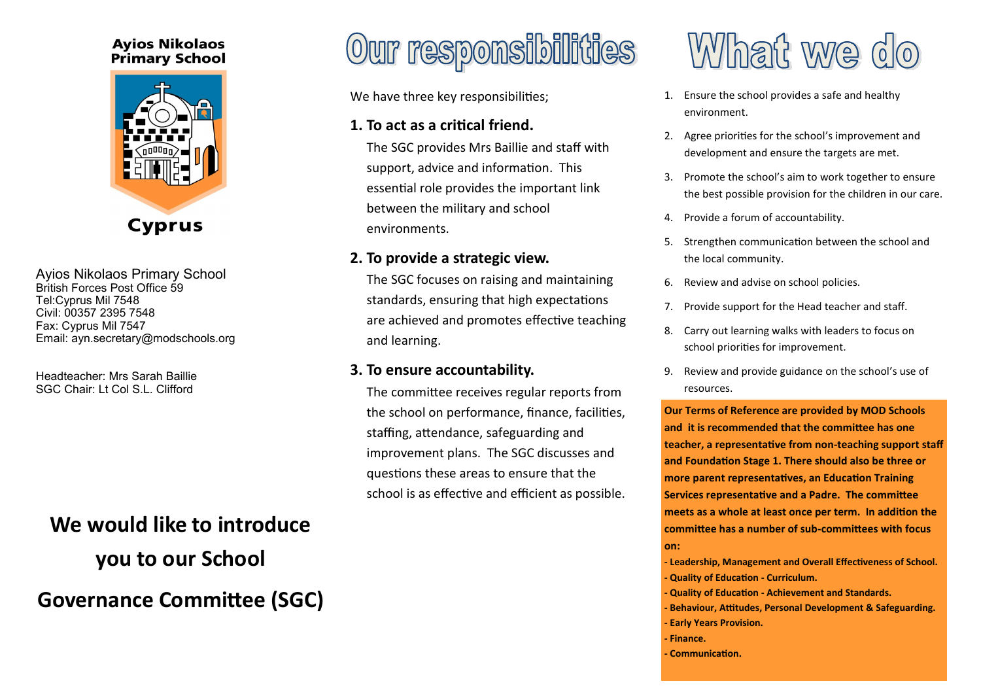### **Avios Nikolaos Primary School**



Ayios Nikolaos Primary School British Forces Post Office 59 Tel:Cyprus Mil 7548 Civil: 00357 2395 7548 Fax: Cyprus Mil 7547 Email: ayn.secretary@modschools.org

Headteacher: Mrs Sarah Baillie SGC Chair: Lt Col S.L. Clifford

### **We would like to introduce**

**you to our School Governance Committee (SGC)**

### Our responsibilities

We have three key responsibilities;

### **1. To act as a critical friend.**

The SGC provides Mrs Baillie and staff with support, advice and information. This essential role provides the important link between the military and school environments.

### **2. To provide a strategic view.**

The SGC focuses on raising and maintaining standards, ensuring that high expectations are achieved and promotes effective teaching and learning.

### **3. To ensure accountability.**

The committee receives regular reports from the school on performance, finance, facilities, staffing, attendance, safeguarding and improvement plans. The SGC discusses and questions these areas to ensure that the school is as effective and efficient as possible.

## What we do

- 1. Ensure the school provides a safe and healthy environment.
- 2. Agree priorities for the school's improvement and development and ensure the targets are met.
- 3. Promote the school's aim to work together to ensure the best possible provision for the children in our care.
- 4. Provide a forum of accountability.
- 5. Strengthen communication between the school and the local community.
- 6. Review and advise on school policies.
- 7. Provide support for the Head teacher and staff.
- 8. Carry out learning walks with leaders to focus on school priorities for improvement.
- 9. Review and provide guidance on the school's use of resources.

**Our Terms of Reference are provided by MOD Schools and it is recommended that the committee has one teacher, a representative from non-teaching support staff and Foundation Stage 1. There should also be three or more parent representatives, an Education Training Services representative and a Padre. The committee meets as a whole at least once per term. In addition the committee has a number of sub-committees with focus on:**

**- Leadership, Management and Overall Effectiveness of School. - Quality of Education - Curriculum.**

- **- Quality of Education - Achievement and Standards.**
- **- Behaviour, Attitudes, Personal Development & Safeguarding. - Early Years Provision.**
- **- Finance.**
- **- Communication.**